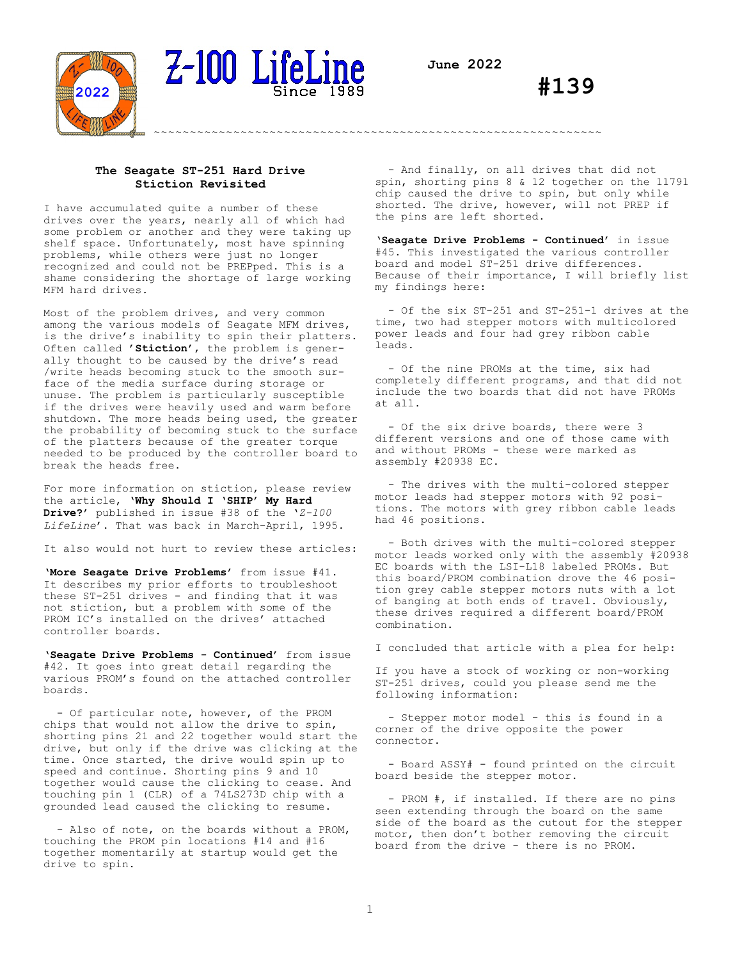

~~~~~~~~~~~~~~~~~~~~~~~~~~~~~~~~~~~~~~~~~~~~~~~~~~~~~~~~~~~~~~



# Z-100 LifeLine

**#139**

## **The Seagate ST-251 Hard Drive Stiction Revisited**

I have accumulated quite a number of these drives over the years, nearly all of which had some problem or another and they were taking up shelf space. Unfortunately, most have spinning problems, while others were just no longer recognized and could not be PREPped. This is a shame considering the shortage of large working MFM hard drives.

Most of the problem drives, and very common among the various models of Seagate MFM drives, is the drive's inability to spin their platters. Often called **'Stiction'**, the problem is generally thought to be caused by the drive's read /write heads becoming stuck to the smooth surface of the media surface during storage or unuse. The problem is particularly susceptible if the drives were heavily used and warm before shutdown. The more heads being used, the greater the probability of becoming stuck to the surface of the platters because of the greater torque needed to be produced by the controller board to break the heads free.

For more information on stiction, please review the article, '**Why Should I 'SHIP' My Hard Drive?**' published in issue #38 of the '*Z-100 LifeLine*'. That was back in March-April, 1995.

It also would not hurt to review these articles:

'**More Seagate Drive Problems'** from issue #41. It describes my prior efforts to troubleshoot these ST-251 drives - and finding that it was not stiction, but a problem with some of the PROM IC's installed on the drives' attached controller boards.

'**Seagate Drive Problems - Continued**' from issue #42. It goes into great detail regarding the various PROM's found on the attached controller boards.

 - Of particular note, however, of the PROM chips that would not allow the drive to spin, shorting pins 21 and 22 together would start the drive, but only if the drive was clicking at the time. Once started, the drive would spin up to speed and continue. Shorting pins 9 and 10 together would cause the clicking to cease. And touching pin 1 (CLR) of a 74LS273D chip with a grounded lead caused the clicking to resume.

 - Also of note, on the boards without a PROM, touching the PROM pin locations #14 and #16 together momentarily at startup would get the drive to spin.

 - And finally, on all drives that did not spin, shorting pins 8 & 12 together on the 11791 chip caused the drive to spin, but only while shorted. The drive, however, will not PREP if the pins are left shorted.

'**Seagate Drive Problems - Continued**' in issue #45. This investigated the various controller board and model ST-251 drive differences. Because of their importance, I will briefly list my findings here:

 - Of the six ST-251 and ST-251-1 drives at the time, two had stepper motors with multicolored power leads and four had grey ribbon cable leads.

 - Of the nine PROMs at the time, six had completely different programs, and that did not include the two boards that did not have PROMs at all.

 - Of the six drive boards, there were 3 different versions and one of those came with and without PROMs - these were marked as assembly #20938 EC.

 - The drives with the multi-colored stepper motor leads had stepper motors with 92 positions. The motors with grey ribbon cable leads had 46 positions.

 - Both drives with the multi-colored stepper motor leads worked only with the assembly #20938 EC boards with the LSI-L18 labeled PROMs. But this board/PROM combination drove the 46 position grey cable stepper motors nuts with a lot of banging at both ends of travel. Obviously, these drives required a different board/PROM combination.

I concluded that article with a plea for help:

If you have a stock of working or non-working ST-251 drives, could you please send me the following information:

- Stepper motor model - this is found in a corner of the drive opposite the power connector.

 - Board ASSY# - found printed on the circuit board beside the stepper motor.

- PROM #, if installed. If there are no pins seen extending through the board on the same side of the board as the cutout for the stepper motor, then don't bother removing the circuit board from the drive - there is no PROM.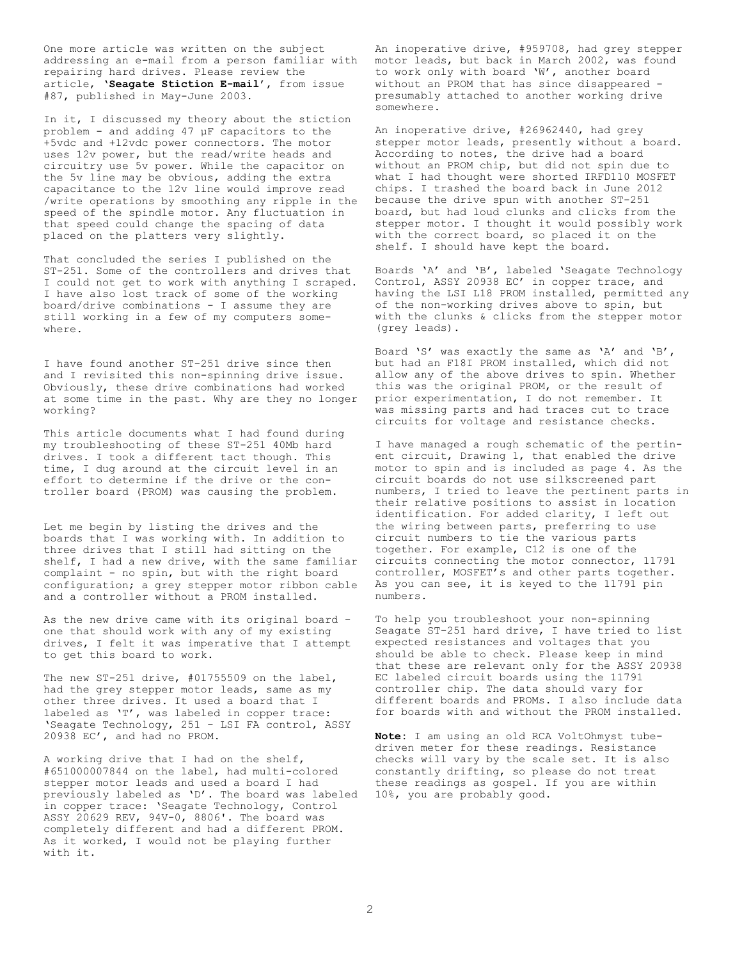One more article was written on the subject addressing an e-mail from a person familiar with repairing hard drives. Please review the article, '**Seagate Stiction E-mail**', from issue #87, published in May-June 2003.

In it, I discussed my theory about the stiction problem - and adding 47 µF capacitors to the +5vdc and +12vdc power connectors. The motor uses 12v power, but the read/write heads and circuitry use 5v power. While the capacitor on the 5v line may be obvious, adding the extra capacitance to the 12v line would improve read /write operations by smoothing any ripple in the speed of the spindle motor. Any fluctuation in that speed could change the spacing of data placed on the platters very slightly.

That concluded the series I published on the ST-251. Some of the controllers and drives that I could not get to work with anything I scraped. I have also lost track of some of the working board/drive combinations - I assume they are still working in a few of my computers somewhere.

I have found another ST-251 drive since then and I revisited this non-spinning drive issue. Obviously, these drive combinations had worked at some time in the past. Why are they no longer working?

This article documents what I had found during my troubleshooting of these ST-251 40Mb hard drives. I took a different tact though. This time, I dug around at the circuit level in an effort to determine if the drive or the controller board (PROM) was causing the problem.

Let me begin by listing the drives and the boards that I was working with. In addition to three drives that I still had sitting on the shelf, I had a new drive, with the same familiar complaint - no spin, but with the right board configuration; a grey stepper motor ribbon cable and a controller without a PROM installed.

As the new drive came with its original board one that should work with any of my existing drives, I felt it was imperative that I attempt to get this board to work.

The new ST-251 drive, #01755509 on the label, had the grey stepper motor leads, same as my other three drives. It used a board that I labeled as 'T', was labeled in copper trace: 'Seagate Technology, 251 - LSI FA control, ASSY 20938 EC', and had no PROM.

A working drive that I had on the shelf, #651000007844 on the label, had multi-colored stepper motor leads and used a board I had previously labeled as 'D'. The board was labeled in copper trace: 'Seagate Technology, Control ASSY 20629 REV, 94V-0, 8806'. The board was completely different and had a different PROM. As it worked, I would not be playing further with it.

An inoperative drive, #959708, had grey stepper motor leads, but back in March 2002, was found to work only with board 'W', another board without an PROM that has since disappeared presumably attached to another working drive somewhere.

An inoperative drive, #26962440, had grey stepper motor leads, presently without a board. According to notes, the drive had a board without an PROM chip, but did not spin due to what I had thought were shorted IRFD110 MOSFET chips. I trashed the board back in June 2012 because the drive spun with another ST-251 board, but had loud clunks and clicks from the stepper motor. I thought it would possibly work with the correct board, so placed it on the shelf. I should have kept the board.

Boards 'A' and 'B', labeled 'Seagate Technology Control, ASSY 20938 EC' in copper trace, and having the LSI L18 PROM installed, permitted any of the non-working drives above to spin, but with the clunks & clicks from the stepper motor (grey leads).

Board 'S' was exactly the same as 'A' and 'B', but had an F18I PROM installed, which did not allow any of the above drives to spin. Whether this was the original PROM, or the result of prior experimentation, I do not remember. It was missing parts and had traces cut to trace circuits for voltage and resistance checks.

I have managed a rough schematic of the pertinent circuit, Drawing 1, that enabled the drive motor to spin and is included as page 4. As the circuit boards do not use silkscreened part numbers, I tried to leave the pertinent parts in their relative positions to assist in location identification. For added clarity, I left out the wiring between parts, preferring to use circuit numbers to tie the various parts together. For example, C12 is one of the circuits connecting the motor connector, 11791 controller, MOSFET's and other parts together. As you can see, it is keyed to the 11791 pin numbers.

To help you troubleshoot your non-spinning Seagate ST-251 hard drive, I have tried to list expected resistances and voltages that you should be able to check. Please keep in mind that these are relevant only for the ASSY 20938 EC labeled circuit boards using the 11791 controller chip. The data should vary for different boards and PROMs. I also include data for boards with and without the PROM installed.

**Note:** I am using an old RCA VoltOhmyst tubedriven meter for these readings. Resistance checks will vary by the scale set. It is also constantly drifting, so please do not treat these readings as gospel. If you are within 10%, you are probably good.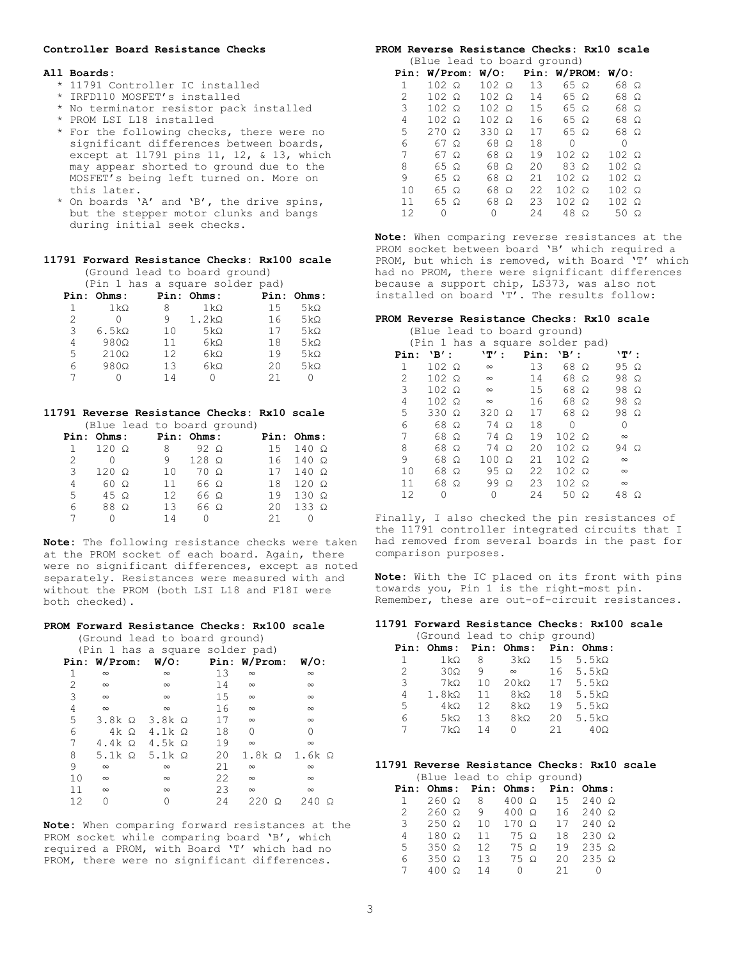## **Controller Board Resistance Checks**

#### **All Boards:**

- \* 11791 Controller IC installed
- \* IRFD110 MOSFET's installed
- \* No terminator resistor pack installed
- \* PROM LSI L18 installed
- \* For the following checks, there were no significant differences between boards, except at 11791 pins 11, 12, & 13, which may appear shorted to ground due to the MOSFET's being left turned on. More on this later.
- \* On boards 'A' and 'B', the drive spins, but the stepper motor clunks and bangs during initial seek checks.

## **11791 Forward Resistance Checks: Rx100 scale**

 (Ground lead to board ground) (Pin 1 has a square solder pad)

|   |                       |     | lein i nas a squale soluei pauj |    |            |
|---|-----------------------|-----|---------------------------------|----|------------|
|   | Pin: Ohms:            |     | <b>Pin: Ohms:</b>               |    | Pin: Ohms: |
|   | $1\,\mathrm{k}\Omega$ | 8   | $1\,\mathrm{k}\Omega$           | 15 | $5k\Omega$ |
| 2 |                       | q   | $1.2k\Omega$                    | 16 | $5k\Omega$ |
| 3 | $6.5k\Omega$          | 10  | $5k\Omega$                      | 17 | $5k\Omega$ |
| 4 | $980\Omega$           | 11  | $6k\Omega$                      | 18 | $5k\Omega$ |
| 5 | $210\Omega$           | 12. | 6kΩ                             | 19 | $5k\Omega$ |
| 6 | $980\Omega$           | 13  | 6kΩ                             | 20 | $5k\Omega$ |
|   |                       | 14  |                                 | 21 |            |
|   |                       |     |                                 |    |            |

#### **11791 Reverse Resistance Checks: Rx10 scale** (Blue lead to board ground)

|   |                            |                | letac form of ponta dright |        |                             |
|---|----------------------------|----------------|----------------------------|--------|-----------------------------|
|   | Pin: Ohms: Pin: Ohms:      |                |                            |        | Pin: Ohms:                  |
|   | $1 \quad 120 \quad \Omega$ | 8 <sup>1</sup> | $92\Omega$                 |        | $15 \quad 140 \quad \Omega$ |
| 2 | $\overline{0}$             | 9              | $128$ $\Omega$             |        | $16$ 140 $\Omega$           |
| 3 | $120 \Omega$               | 10             | 70 Q                       |        | $17140\Omega$               |
| 4 | $60\Omega$                 | 11             | 66 Ω                       |        | $18$ $120$ $\Omega$         |
| 5 | $45\Omega$                 | $12 -$         | 66 Ω                       |        | $19$ 130 $\Omega$           |
| 6 | $88\Omega$                 | 13             | 66 Ω                       |        | $20 \quad 133 \quad \Omega$ |
|   | $\Omega$                   | 14             | $\Omega$                   | $21 -$ | 0                           |

**Note:** The following resistance checks were taken at the PROM socket of each board. Again, there were no significant differences, except as noted separately. Resistances were measured with and without the PROM (both LSI L18 and F18I were both checked).

## **PROM Forward Resistance Checks: Rx100 scale**

(Ground lead to board ground)

|               |                                   | (Pin 1 has a square solder pad)     |     |                                 |          |
|---------------|-----------------------------------|-------------------------------------|-----|---------------------------------|----------|
|               |                                   | Pin: W/Prom: W/O: Pin: W/Prom: W/O: |     |                                 |          |
| 1             | $\infty$                          | $\infty$                            | 13  | $\infty$                        | $\infty$ |
| $\mathcal{L}$ | $\infty$                          | $\infty$                            | 14  | $\infty$                        | $\infty$ |
| 3             | $\infty$                          | $\infty$                            | 15  | $\infty$                        | $\infty$ |
| 4             | $\infty$                          | $\infty$                            | 16  | $\infty$                        | $\infty$ |
| 5             | $3.8k$ $\Omega$ $3.8k$ $\Omega$   |                                     | 17  | $\infty$                        | $\infty$ |
| 6             | $4k\Omega$                        | $4.1k$ $\Omega$                     | 18  | $\Omega$                        | 0        |
| 7             | $4.4k\Omega$ $4.5k\Omega$         |                                     | 19  | $\infty$                        | $\infty$ |
| 8             | 5.1 $k$ $\Omega$ 5.1 $k$ $\Omega$ |                                     | 20  | $1.8k$ $\Omega$ $1.6k$ $\Omega$ |          |
| 9             | $\infty$                          | $\infty$                            | 21  | $\infty$                        | $\infty$ |
| 10            | $\infty$                          | $\infty$                            | 22  | $\infty$                        | $\infty$ |
| 11            | $\infty$                          | $\infty$                            | 23  | $\infty$                        | $\infty$ |
| 12.           | Λ                                 | 0                                   | 2.4 | 220<br>Ω                        | 240      |

**Note:** When comparing forward resistances at the PROM socket while comparing board 'B', which required a PROM, with Board 'T' which had no PROM, there were no significant differences.

#### **PROM Reverse Resistance Checks: Rx10 scale** (Blue lead to board ground)

|   |  |                                                                                                                              |  |                                                                                             |                                 |    | 68 Q                                                                                                                                                            |                                                 |
|---|--|------------------------------------------------------------------------------------------------------------------------------|--|---------------------------------------------------------------------------------------------|---------------------------------|----|-----------------------------------------------------------------------------------------------------------------------------------------------------------------|-------------------------------------------------|
|   |  |                                                                                                                              |  | 14                                                                                          |                                 |    | 68 Ω                                                                                                                                                            |                                                 |
|   |  |                                                                                                                              |  |                                                                                             |                                 |    | 68 Q                                                                                                                                                            |                                                 |
|   |  |                                                                                                                              |  | 16                                                                                          |                                 |    | 68 Q                                                                                                                                                            |                                                 |
|   |  |                                                                                                                              |  | 17                                                                                          |                                 |    | 68 Ω                                                                                                                                                            |                                                 |
|   |  |                                                                                                                              |  | 18                                                                                          | 0                               |    | 0                                                                                                                                                               |                                                 |
|   |  |                                                                                                                              |  | 19                                                                                          |                                 |    | $102 \Omega$                                                                                                                                                    |                                                 |
|   |  |                                                                                                                              |  | 20                                                                                          |                                 |    | $102 \Omega$                                                                                                                                                    |                                                 |
|   |  |                                                                                                                              |  | 21                                                                                          |                                 |    | $102 \Omega$                                                                                                                                                    |                                                 |
|   |  |                                                                                                                              |  | 22                                                                                          |                                 |    | $102 \Omega$                                                                                                                                                    |                                                 |
|   |  |                                                                                                                              |  | 23                                                                                          |                                 |    | $102 \Omega$                                                                                                                                                    |                                                 |
| 0 |  | 0                                                                                                                            |  | 2.4                                                                                         |                                 |    | 50 $\Omega$                                                                                                                                                     |                                                 |
|   |  | $102 \Omega$<br>$102 \Omega$<br>$102 \Omega$<br>$102 \Omega$<br>$270 \Omega$<br>67 Ω<br>67 Q<br>65 Ω<br>65 Ω<br>65 Ω<br>65 Q |  | $102 \Omega$<br>$102 \Omega$<br>$330\Omega$<br>68 Ω<br>68 Ω<br>68 Ω<br>68 Ω<br>68 Ω<br>68 Q | $102 \Omega$ 13<br>$102 \Omega$ | 15 | Intue read to board ground,<br>65 Ω<br>65 Ω<br>65 Q<br>65 Q<br>65 Ω<br>$102 \Omega$<br>$83\Omega$<br>$102 \Omega$<br>$102 \Omega$<br>$102 \Omega$<br>$48\Omega$ | Pin: $W/$ Prom: $W/O$ : Pin: $W/$ PROM: $W/O$ : |

**Note:** When comparing reverse resistances at the PROM socket between board 'B' which required a PROM, but which is removed, with Board 'T' which had no PROM, there were significant differences because a support chip, LS373, was also not installed on board 'T'. The results follow:

#### **PROM Reverse Resistance Checks: Rx10 scale**

(Blue lead to board ground)

|      |                 |          |          |          |      |              | (Pin 1 has a square solder pad) |          |          |
|------|-----------------|----------|----------|----------|------|--------------|---------------------------------|----------|----------|
| Pin: | $\mathbf{B}'$ : |          | `T' :    |          | Pin: | $'B'$ :      |                                 | `T' :    |          |
| 1    | $102 \Omega$    |          | $\infty$ |          | 13   | 68           | $\Omega$                        | 95 Q     |          |
| 2    | $102 \Omega$    |          | $\infty$ |          | 14   | 68           | $\Omega$                        | 98       | $\Omega$ |
| 3    | $102 \Omega$    |          | $\infty$ |          | 15   | 68           | Ω                               | 98       | Ω        |
| 4    | $102 \Omega$    |          | $\infty$ |          | 16   | 68           | $\Omega$                        | 98       | Ω        |
| 5    | $330\Omega$     |          | 320      | Ω        | 17   | 68 Ω         |                                 | 98       | - 0      |
| 6    | 68 Ω            |          | 74       | $\Omega$ | 18   | 0            |                                 | 0        |          |
| 7    | 68 Q            |          | 74       | $\Omega$ | 19   | $102 \Omega$ |                                 | $\infty$ |          |
| 8    | 68              | Ω        | 74       | Ω        | 20   | $102 \Omega$ |                                 | 94       | - 0      |
| 9    | 68              | Ω        | 100      | $\Omega$ | 21   | $102 \Omega$ |                                 | $\infty$ |          |
| 10   | 68              | Ω        | 95       | Ω        | 22   | $102 \Omega$ |                                 | $\infty$ |          |
| 11   | 68              | $\Omega$ | 99       | Ω        | 23   | $102 \Omega$ |                                 | $\infty$ |          |
| 12   | Ω               |          | 0        |          | 2.4  | 50           | Ω                               | 48       | Ω        |

Finally, I also checked the pin resistances of the 11791 controller integrated circuits that I had removed from several boards in the past for comparison purposes.

**Note:** With the IC placed on its front with pins towards you, Pin 1 is the right-most pin. Remember, these are out-of-circuit resistances.

### **11791 Forward Resistance Checks: Rx100 scale**

|                |                       |     | (Ground lead to chip ground)     |     |               |
|----------------|-----------------------|-----|----------------------------------|-----|---------------|
|                |                       |     | Pin: Ohms: Pin: Ohms: Pin: Ohms: |     |               |
| 1              | $1\,\mathrm{k}\Omega$ | 8   | 3 kΩ                             |     | $15$ 5.5 kΩ   |
| $\mathfrak{D}$ | $30\Omega$            | 9   | $\infty$                         |     | $16$ 5.5 kΩ   |
| 3              | 7 kΩ                  | 10  | $20k\Omega$                      | 17  | 5.5 $k\Omega$ |
| 4              | $1.8k\Omega$          | 11  | $8 \, \mathrm{k} \Omega$         | 18  | $5.5k\Omega$  |
| 5              | $4\,\mathrm{k}\Omega$ | 12. | 8kQ                              | 19  | $5.5k\Omega$  |
| 6              | $5k\Omega$            | 1.3 | $8k\Omega$                       | 20  | 5.5 $k\Omega$ |
| 7              | 7 k.Q                 | 14  | $\left( \right)$                 | 2.1 | $40\Omega$    |
|                |                       |     |                                  |     |               |

#### **11791 Reverse Resistance Checks: Rx10 scale** (Blue lead to chip ground)

|              |                 |                                |                | I The Tead to chip dround, |                                               |
|--------------|-----------------|--------------------------------|----------------|----------------------------|-----------------------------------------------|
|              |                 |                                |                |                            | Pin: Ohms: Pin: Ohms: Pin: Ohms:              |
| $\mathbf{1}$ |                 |                                |                |                            | $260 \Omega$ 8 $400 \Omega$ 15 $240 \Omega$   |
|              |                 |                                |                |                            | 2 260 $\Omega$ 9 400 $\Omega$ 16 240 $\Omega$ |
|              |                 | 3 $250 \Omega$ 10 170 $\Omega$ |                |                            | $17240\Omega$                                 |
| 4            | $180 \Omega$ 11 |                                | 75 Ω           | 18                         | $230 \Omega$                                  |
| 5            |                 | 350 $\Omega$ 12 75 $\Omega$    |                | 19                         | $235 \Omega$                                  |
| 6            |                 | $350 \Omega$ 13 75 $\Omega$    |                | $20 -$                     | $235 \Omega$                                  |
| 7            | 400 Q           | 14                             | $\overline{0}$ | $21 -$                     |                                               |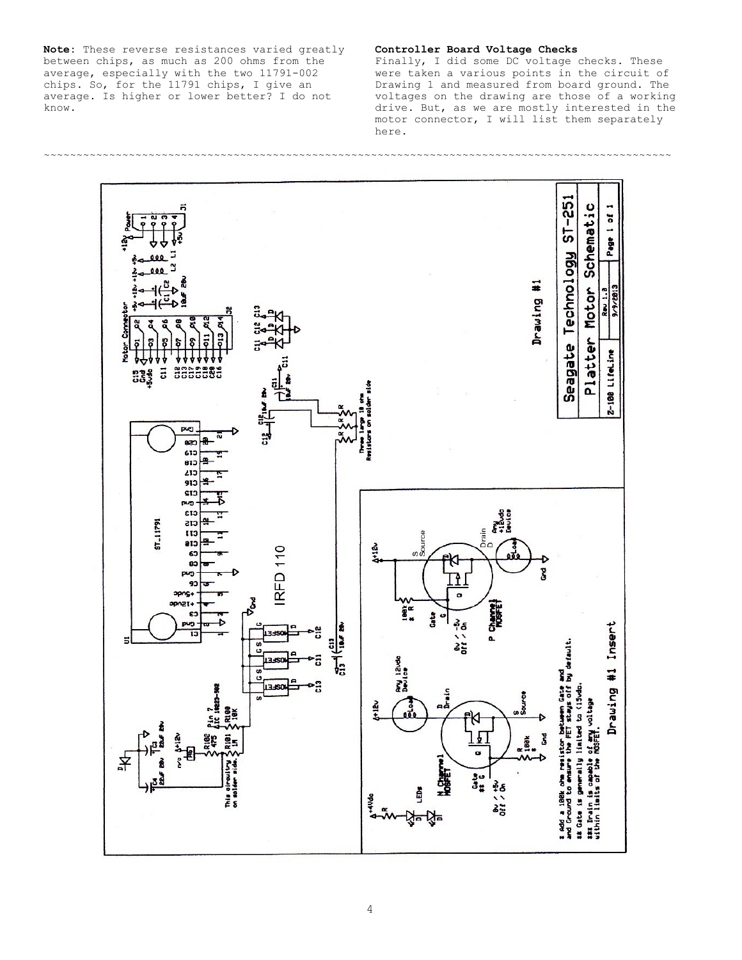**Note:** These reverse resistances varied greatly between chips, as much as 200 ohms from the average, especially with the two 11791-002 chips. So, for the 11791 chips, I give an average. Is higher or lower better? I do not know.

## **Controller Board Voltage Checks**

Finally, I did some DC voltage checks. These were taken a various points in the circuit of Drawing 1 and measured from board ground. The voltages on the drawing are those of a working drive. But, as we are mostly interested in the motor connector, I will list them separately here.

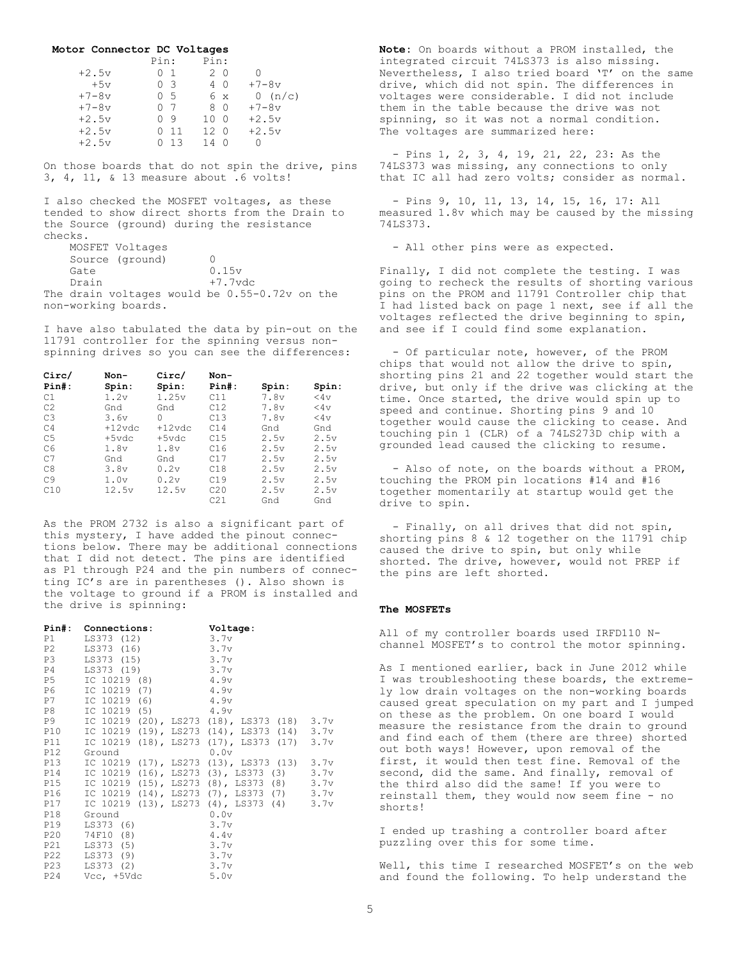**Motor Connector DC Voltages** Pin: Pin:<br>0 1 2 0  $\begin{array}{ccccccccc} +2.5{\rm v} & \qquad & 0 & 1 & \qquad & 2 & 0 & 0 \\ +5{\rm v} & \qquad & 0 & 3 & \qquad & 4 & 0 & \qquad & +7-8{\rm v} \\ +7-8{\rm v} & \qquad & 0 & 5 & \qquad & 6 & \times & \qquad & 0 & ({\rm n}/ \end{array}$  $+5v$  0 3<br> $+7-8v$  0 5  $+7-8v$  0 5 6 x 0 (n/c)<br> $+7-8v$  0 7 8 0 +7-8v  $+7-8v$  0 7 8 0  $+7-8v$ <br> $+2.5v$  0 9 10 0  $+2.5v$ +2.5v 0 9 10 0 +2.5v 0 11 12 0 +2.5v  $0$  13 14 0 0

On those boards that do not spin the drive, pins 3, 4, 11, & 13 measure about .6 volts!

I also checked the MOSFET voltages, as these tended to show direct shorts from the Drain to the Source (ground) during the resistance checks.

| MOSFET Voltages                                 |            |  |  |
|-------------------------------------------------|------------|--|--|
| Source (ground)                                 |            |  |  |
| Gate                                            | 0.15v      |  |  |
| Drain                                           | $+7.7$ vdc |  |  |
| The drain voltages would be $0.55-0.72v$ on the |            |  |  |

non-working boards.

I have also tabulated the data by pin-out on the 11791 controller for the spinning versus nonspinning drives so you can see the differences:

| Circ/          | Non-      | Circ/     | Non-     |       |           |
|----------------|-----------|-----------|----------|-------|-----------|
| $Pin#$ :       | Spin:     | Spin:     | $Pin#$ : | Spin: | Spin:     |
| C1             | 1.2v      | 1.25v     | C11      | 7.8v  | $<$ 4 $<$ |
| C <sub>2</sub> | Gnd       | Gnd       | C12      | 7.8v  | $<4$ v    |
| C <sub>3</sub> | 3.6v      | $\Omega$  | C13      | 7.8v  | 44v       |
| C <sub>4</sub> | $+12$ vdc | $+12$ vdc | C14      | Gnd   | Gnd       |
| C <sub>5</sub> | $+5$ vdc  | $+5$ vdc  | C15      | 2.5v  | 2.5v      |
| C <sub>6</sub> | 1.8v      | 1.8v      | C16      | 2.5v  | 2.5v      |
| C <sub>7</sub> | Gnd       | Gnd       | C17      | 2.5v  | 2.5v      |
| C8             | 3.8v      | 0.2v      | C18      | 2.5v  | 2.5v      |
| C <sub>9</sub> | 1.0v      | 0.2v      | C19      | 2.5v  | 2.5v      |
| C10            | 12.5v     | 12.5v     | C20      | 2.5v  | 2.5v      |
|                |           |           | C21      | Gnd   | Gnd       |

As the PROM 2732 is also a significant part of this mystery, I have added the pinout connections below. There may be additional connections that I did not detect. The pins are identified as P1 through P24 and the pin numbers of connecting IC's are in parentheses (). Also shown is the voltage to ground if a PROM is installed and the drive is spinning:

|     | Pin#: Connections:   | Voltage:                                       |  |
|-----|----------------------|------------------------------------------------|--|
|     | P1 LS373 (12)        | 3.7v                                           |  |
| P2  | LS373 (16)           | 3.7v                                           |  |
|     | P3 LS373 (15)        | 3.7v                                           |  |
|     | P4 LS373 (19)        | 3.7v                                           |  |
|     | P5 IC 10219 (8) 4.9v |                                                |  |
|     | P6 IC 10219 (7)      | 4.9v                                           |  |
|     | P7 IC 10219 (6) 4.9v |                                                |  |
|     | P8 IC 10219 (5) 4.9v |                                                |  |
|     |                      | P9 IC 10219 (20), LS273 (18), LS373 (18) 3.7v  |  |
|     |                      | P10 IC 10219 (19), LS273 (14), LS373 (14) 3.7v |  |
| P11 |                      | IC 10219 (18), LS273 (17), LS373 (17) 3.7v     |  |
|     | P12 Ground           | 0.0v                                           |  |
|     |                      | P13 IC 10219 (17), LS273 (13), LS373 (13) 3.7v |  |
|     |                      | P14 IC 10219 (16), LS273 (3), LS373 (3) 3.7v   |  |
|     |                      | P15 IC 10219 (15), LS273 (8), LS373 (8) 3.7v   |  |
|     |                      | P16 IC 10219 (14), LS273 (7), LS373 (7) 3.7v   |  |
|     |                      | P17 IC 10219 (13), LS273 (4), LS373 (4) 3.7v   |  |
|     | P18 Ground           | 0.0v                                           |  |
|     | P19 LS373 (6)        | 3.7v                                           |  |
|     | P20 74F10 (8)        | 4.4v                                           |  |
|     | P21 LS373 (5)        | 3.7v                                           |  |
|     | P22 LS373 (9)        | 3.7v                                           |  |
|     | P23 LS373 (2)        | 3.7v                                           |  |
| P24 | Vcc, +5Vdc           | 5.0v                                           |  |

**Note:** On boards without a PROM installed, the integrated circuit 74LS373 is also missing. Nevertheless, I also tried board 'T' on the same drive, which did not spin. The differences in voltages were considerable. I did not include them in the table because the drive was not spinning, so it was not a normal condition. The voltages are summarized here:

 - Pins 1, 2, 3, 4, 19, 21, 22, 23: As the 74LS373 was missing, any connections to only that IC all had zero volts; consider as normal.

 - Pins 9, 10, 11, 13, 14, 15, 16, 17: All measured 1.8v which may be caused by the missing 74LS373.

- All other pins were as expected.

Finally, I did not complete the testing. I was going to recheck the results of shorting various pins on the PROM and 11791 Controller chip that I had listed back on page 1 next, see if all the voltages reflected the drive beginning to spin, and see if I could find some explanation.

 - Of particular note, however, of the PROM chips that would not allow the drive to spin, shorting pins 21 and 22 together would start the drive, but only if the drive was clicking at the time. Once started, the drive would spin up to speed and continue. Shorting pins 9 and 10 together would cause the clicking to cease. And touching pin 1 (CLR) of a 74LS273D chip with a grounded lead caused the clicking to resume.

 - Also of note, on the boards without a PROM, touching the PROM pin locations #14 and #16 together momentarily at startup would get the drive to spin.

 - Finally, on all drives that did not spin, shorting pins 8 & 12 together on the 11791 chip caused the drive to spin, but only while shorted. The drive, however, would not PREP if the pins are left shorted.

## **The MOSFETs**

All of my controller boards used IRFD110 Nchannel MOSFET's to control the motor spinning.

As I mentioned earlier, back in June 2012 while I was troubleshooting these boards, the extremely low drain voltages on the non-working boards caused great speculation on my part and I jumped on these as the problem. On one board I would measure the resistance from the drain to ground and find each of them (there are three) shorted out both ways! However, upon removal of the first, it would then test fine. Removal of the second, did the same. And finally, removal of the third also did the same! If you were to reinstall them, they would now seem fine - no shorts!

I ended up trashing a controller board after puzzling over this for some time.

Well, this time I researched MOSFET's on the web and found the following. To help understand the